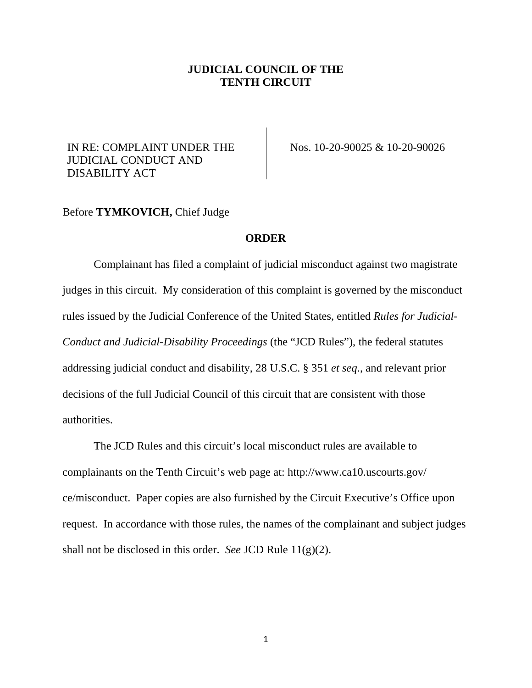## **JUDICIAL COUNCIL OF THE TENTH CIRCUIT**

## IN RE: COMPLAINT UNDER THE JUDICIAL CONDUCT AND DISABILITY ACT

Nos. 10-20-90025 & 10-20-90026

## Before **TYMKOVICH,** Chief Judge

## **ORDER**

Complainant has filed a complaint of judicial misconduct against two magistrate judges in this circuit. My consideration of this complaint is governed by the misconduct rules issued by the Judicial Conference of the United States, entitled *Rules for Judicial-Conduct and Judicial-Disability Proceedings* (the "JCD Rules"), the federal statutes addressing judicial conduct and disability, 28 U.S.C. § 351 *et seq*., and relevant prior decisions of the full Judicial Council of this circuit that are consistent with those authorities.

The JCD Rules and this circuit's local misconduct rules are available to complainants on the Tenth Circuit's web page at: http://www.ca10.uscourts.gov/ ce/misconduct. Paper copies are also furnished by the Circuit Executive's Office upon request. In accordance with those rules, the names of the complainant and subject judges shall not be disclosed in this order. *See* JCD Rule 11(g)(2).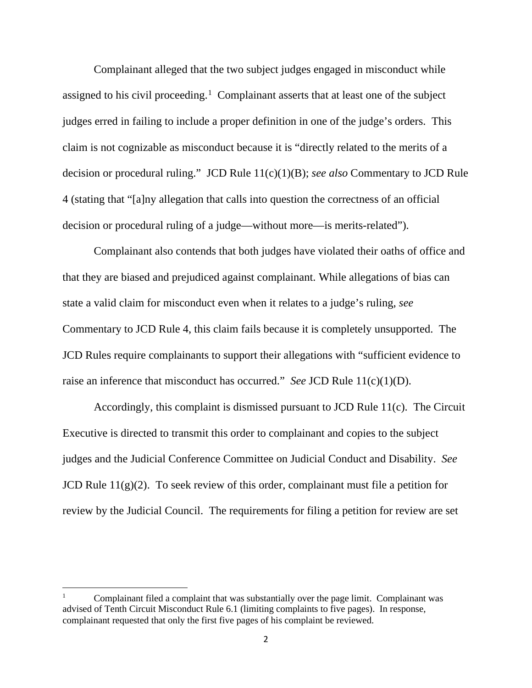Complainant alleged that the two subject judges engaged in misconduct while assigned to his civil proceeding.<sup>[1](#page-1-0)</sup> Complainant asserts that at least one of the subject judges erred in failing to include a proper definition in one of the judge's orders. This claim is not cognizable as misconduct because it is "directly related to the merits of a decision or procedural ruling." JCD Rule 11(c)(1)(B); *see also* Commentary to JCD Rule 4 (stating that "[a]ny allegation that calls into question the correctness of an official decision or procedural ruling of a judge—without more—is merits-related").

Complainant also contends that both judges have violated their oaths of office and that they are biased and prejudiced against complainant. While allegations of bias can state a valid claim for misconduct even when it relates to a judge's ruling, *see* Commentary to JCD Rule 4, this claim fails because it is completely unsupported. The JCD Rules require complainants to support their allegations with "sufficient evidence to raise an inference that misconduct has occurred." *See* JCD Rule 11(c)(1)(D).

Accordingly, this complaint is dismissed pursuant to JCD Rule 11(c). The Circuit Executive is directed to transmit this order to complainant and copies to the subject judges and the Judicial Conference Committee on Judicial Conduct and Disability. *See* JCD Rule  $11(g)(2)$ . To seek review of this order, complainant must file a petition for review by the Judicial Council. The requirements for filing a petition for review are set

<span id="page-1-0"></span><sup>1</sup> Complainant filed a complaint that was substantially over the page limit. Complainant was advised of Tenth Circuit Misconduct Rule 6.1 (limiting complaints to five pages). In response, complainant requested that only the first five pages of his complaint be reviewed.